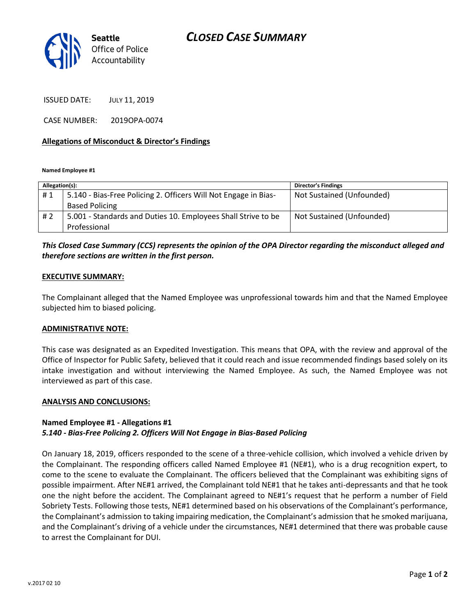

ISSUED DATE: JULY 11, 2019

CASE NUMBER: 2019OPA-0074

### **Allegations of Misconduct & Director's Findings**

**Named Employee #1**

| Allegation(s): |                                                                 | <b>Director's Findings</b> |
|----------------|-----------------------------------------------------------------|----------------------------|
| #1             | 5.140 - Bias-Free Policing 2. Officers Will Not Engage in Bias- | Not Sustained (Unfounded)  |
|                | <b>Based Policing</b>                                           |                            |
| # 2            | 5.001 - Standards and Duties 10. Employees Shall Strive to be   | Not Sustained (Unfounded)  |
|                | Professional                                                    |                            |

### *This Closed Case Summary (CCS) represents the opinion of the OPA Director regarding the misconduct alleged and therefore sections are written in the first person.*

### **EXECUTIVE SUMMARY:**

The Complainant alleged that the Named Employee was unprofessional towards him and that the Named Employee subjected him to biased policing.

### **ADMINISTRATIVE NOTE:**

This case was designated as an Expedited Investigation. This means that OPA, with the review and approval of the Office of Inspector for Public Safety, believed that it could reach and issue recommended findings based solely on its intake investigation and without interviewing the Named Employee. As such, the Named Employee was not interviewed as part of this case.

### **ANALYSIS AND CONCLUSIONS:**

### **Named Employee #1 - Allegations #1** *5.140 - Bias-Free Policing 2. Officers Will Not Engage in Bias-Based Policing*

On January 18, 2019, officers responded to the scene of a three-vehicle collision, which involved a vehicle driven by the Complainant. The responding officers called Named Employee #1 (NE#1), who is a drug recognition expert, to come to the scene to evaluate the Complainant. The officers believed that the Complainant was exhibiting signs of possible impairment. After NE#1 arrived, the Complainant told NE#1 that he takes anti-depressants and that he took one the night before the accident. The Complainant agreed to NE#1's request that he perform a number of Field Sobriety Tests. Following those tests, NE#1 determined based on his observations of the Complainant's performance, the Complainant's admission to taking impairing medication, the Complainant's admission that he smoked marijuana, and the Complainant's driving of a vehicle under the circumstances, NE#1 determined that there was probable cause to arrest the Complainant for DUI.